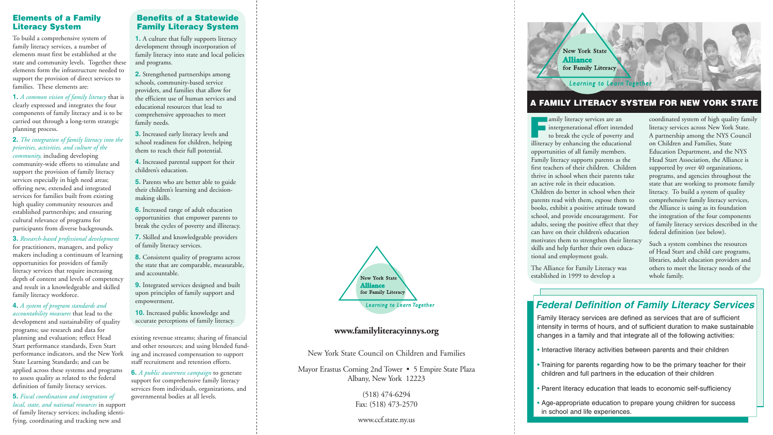## **A FAMILY LITERACY SYSTEM FOR NEW YORK STATE**

**Family literacy services are an<br>intergenerational effort inten<br>to break the cycle of poverty** intergenerational effort intended to break the cycle of poverty and illiteracy by enhancing the educational opportunities of all family members. Family literacy supports parents as the first teachers of their children. Children thrive in school when their parents take an active role in their education. Children do better in school when their parents read with them, expose them to books, exhibit a positive attitude toward school, and provide encouragement. For adults, seeing the positive effect that they can have on their children's education motivates them to strengthen their literacy skills and help further their own educational and employment goals.

The Alliance for Family Literacy was established in 1999 to develop a

coordinated system of high quality family literacy services across New York State. A partnership among the NYS Council on Children and Families, State Education Department, and the NYS Head Start Association, the Alliance is supported by over 40 organizations, programs, and agencies throughout the state that are working to promote family literacy. To build a system of quality comprehensive family literacy services, the Alliance is using as its foundation the integration of the four components of family literacy services described in the federal definition (see below).

Such a system combines the resources of Head Start and child care programs, libraries, adult education providers and others to meet the literacy needs of the whole family.

## *Federal Definition of Family Literacy Services*

Family literacy services are defined as services that are of sufficient intensity in terms of hours, and of sufficient duration to make sustainable changes in a family and that integrate all of the following activities:

• Interactive literacy activities between parents and their children

• Training for parents regarding how to be the primary teacher for their children and full partners in the education of their children

• Parent literacy education that leads to economic self-sufficiency

• Age-appropriate education to prepare young children for success

- 
- 
- 
- in school and life experiences.



## **Benefits of a Statewide Family Literacy System**

**1.** A culture that fully supports literacy development through incorporation of family literacy into state and local policies and programs.

**2.** Strengthened partnerships among schools, community-based service providers, and families that allow for the efficient use of human services and educational resources that lead to comprehensive approaches to meet family needs.

**3.** Increased early literacy levels and school readiness for children, helping them to reach their full potential.

**4.** Increased parental support for their children's education.

**5.** Parents who are better able to guide their children's learning and decisionmaking skills.

**6.** Increased range of adult education opportunities that empower parents to break the cycles of poverty and illiteracy.

**7.** Skilled and knowledgeable providers of family literacy services.

**8.** Consistent quality of programs across the state that are comparable, measurable, and accountable.

**9.** Integrated services designed and built upon principles of family support and empowerment.

**10.** Increased public knowledge and accurate perceptions of family literacy.

## **www.familyliteracyinnys.org**

New York State Council on Children and Families

Mayor Erastus Corning 2nd Tower • 5 Empire State Plaza Albany, New York 12223

> (518) 474-6294 Fax: (518) 473-2570

## www.ccf.state.ny.us

# **New York State Alliance** for Family Literacy

To build a comprehensive system of family literacy services, a number of elements must first be established at the state and community levels. Together these elements form the infrastructure needed to support the provision of direct services to families. These elements are:

**1.** *A common vision of family literacy* that is clearly expressed and integrates the four components of family literacy and is to be carried out through a long-term strategic planning process.

## **2.** *The integration of family literacy into the priorities, activities, and culture of the community,* including developing

community-wide efforts to stimulate and support the provision of family literacy services especially in high need areas; offering new, extended and integrated services for families built from existing high quality community resources and established partnerships; and ensuring cultural relevance of programs for participants from diverse backgrounds.

**3.** *Research-based professional development* for practitioners, managers, and policy makers including a continuum of learning opportunities for providers of family literacy services that require increasing depth of content and levels of competency and result in a knowledgeable and skilled family literacy workforce.

**4.** *A system of program standards and accountability measures* that lead to the development and sustainability of quality programs; use research and data for planning and evaluation; reflect Head Start performance standards, Even Start performance indicators, and the New York State Learning Standards; and can be applied across these systems and programs to assess quality as related to the federal definition of family literacy services.

**5.** *Fiscal coordination and integration of local, state, and national resources* in support of family literacy services; including identifying, coordinating and tracking new and

existing revenue streams; sharing of financial and other resources; and using blended funding and increased compensation to support staff recruitment and retention efforts.

**6.** *A public awareness campaign* to generate support for comprehensive family literacy services from individuals, organizations, and governmental bodies at all levels.



## **Elements of a Family Literacy System**